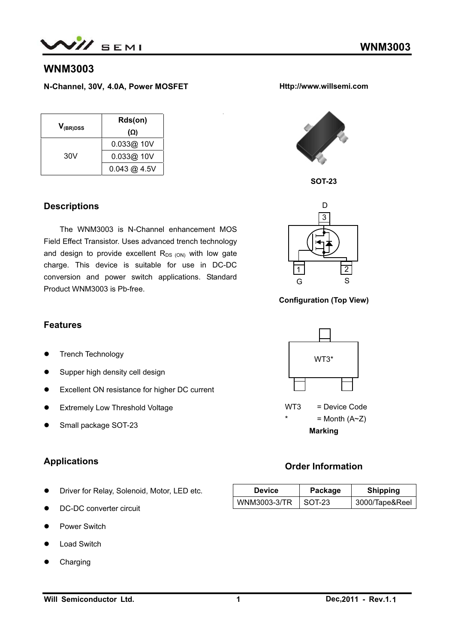

# **WNM3003**

**N-Channel, 30V, 4.0A, Power MOSFET** 

| $V_{(BR)DSS}$ | Rds(on)                 |  |  |
|---------------|-------------------------|--|--|
|               | (Ω)                     |  |  |
| 30V           | 0.033@10V               |  |  |
|               | 0.033@30V               |  |  |
|               | $0.043 \text{ @ } 4.5V$ |  |  |

#### **Descriptions**

The WNM3003 is N-Channel enhancement MOS Field Effect Transistor. Uses advanced trench technology and design to provide excellent  $R_{DS(ON)}$  with low gate charge. This device is suitable for use in DC-DC conversion and power switch applications. Standard Product WNM3003 is Pb-free.



**SOT-23** 

**Http://www.willsemi.com** 

**Configuration (Top View)** 



# **Order Information**

| <b>Device</b>       | Package | <b>Shipping</b> |
|---------------------|---------|-----------------|
| <b>WNM3003-3/TR</b> | SOT-23  | 3000/Tape&Reel  |

#### **Features**

- **•** Trench Technology
- Supper high density cell design
- **•** Excellent ON resistance for higher DC current
- **•** Extremely Low Threshold Voltage
- Small package SOT-23

### **Applications**

- **•** Driver for Relay, Solenoid, Motor, LED etc.
- DC-DC converter circuit
- Power Switch
- **Load Switch**
- Charging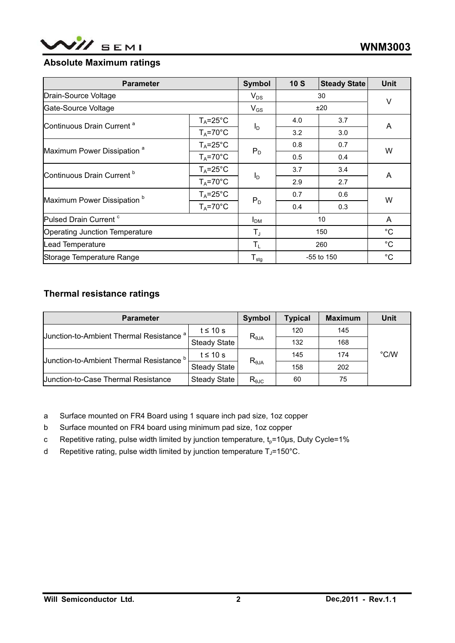

#### **Absolute Maximum ratings**

| <b>Parameter</b>                       |                      | <b>Symbol</b>    | 10S            | <b>Steady State</b> | Unit        |
|----------------------------------------|----------------------|------------------|----------------|---------------------|-------------|
| Drain-Source Voltage                   |                      | $V_{DS}$         | 30             |                     | V           |
| Gate-Source Voltage                    |                      | $V_{GS}$         | ±20            |                     |             |
|                                        | $T_A = 25^{\circ}C$  |                  | 4.0            | 3.7                 | A           |
| Continuous Drain Current <sup>a</sup>  | $T_A = 70^{\circ}$ C | $I_D$            | 3.2            | 3.0                 |             |
| Maximum Power Dissipation <sup>a</sup> | $T_A = 25^{\circ}C$  |                  | 0.8            | 0.7                 | W           |
|                                        | $T_A = 70^{\circ}$ C | $P_D$            | 0.5            | 0.4                 |             |
| Continuous Drain Current <sup>b</sup>  | $T_A = 25^{\circ}C$  | $I_D$            | 3.7            | 3.4                 | A           |
|                                        | $T_A = 70^{\circ}$ C |                  | 2.9            | 2.7                 |             |
| Maximum Power Dissipation <sup>b</sup> | $T_A = 25^{\circ}C$  | $P_D$            | 0.7            | 0.6                 | W           |
|                                        | $T_A = 70^{\circ}C$  |                  | 0.4            | 0.3                 |             |
| Pulsed Drain Current <sup>c</sup>      |                      | I <sub>DM</sub>  | 10             |                     | A           |
| Operating Junction Temperature         |                      | T,               | 150            |                     | $^{\circ}C$ |
| Lead Temperature                       |                      | $T_L$            | 260            |                     | $^{\circ}C$ |
| Storage Temperature Range              |                      | $T_{\text{stg}}$ | $-55$ to $150$ |                     | $^{\circ}C$ |

# **Thermal resistance ratings**

| <b>Parameter</b>                              | Symbol              | <b>Typical</b>  | <b>Maximum</b> | Unit |               |
|-----------------------------------------------|---------------------|-----------------|----------------|------|---------------|
| <b>Junction-to-Ambient Thermal Resistance</b> | t $\leq 10$ s       | $R_{\theta JA}$ | 120            | 145  |               |
|                                               | <b>Steady State</b> |                 | 132            | 168  |               |
| <b>Junction-to-Ambient Thermal Resistance</b> | $t \leq 10$ s       |                 | 145            | 174  | $\degree$ C/W |
|                                               | <b>Steady State</b> | $R_{\theta JA}$ | 158            | 202  |               |
| Uunction-to-Case Thermal Resistance           | Steady State        | $R_{\theta$ JC  | 60             | 75   |               |

a Surface mounted on FR4 Board using 1 square inch pad size, 1oz copper

- b Surface mounted on FR4 board using minimum pad size, 1oz copper
- c Repetitive rating, pulse width limited by junction temperature,  $t_0$ =10μs, Duty Cycle=1%
- d Repetitive rating, pulse width limited by junction temperature  $T_J$ =150°C.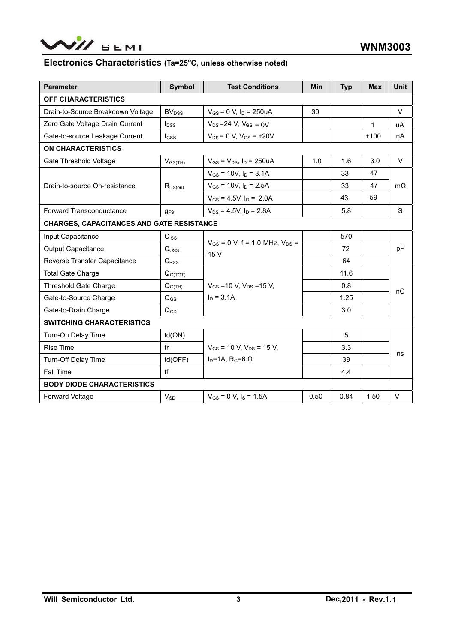

#### Electronics Characteristics (Ta=25°C, unless otherwise noted)

| <b>Parameter</b>                                 | <b>Symbol</b>            | <b>Test Conditions</b>                  | <b>Min</b> | <b>Typ</b> | <b>Max</b> | <b>Unit</b> |  |
|--------------------------------------------------|--------------------------|-----------------------------------------|------------|------------|------------|-------------|--|
| OFF CHARACTERISTICS                              |                          |                                         |            |            |            |             |  |
| Drain-to-Source Breakdown Voltage                | <b>BV</b> <sub>DSS</sub> | $V_{GS} = 0$ V, $I_D = 250$ uA          | 30         |            |            | V           |  |
| Zero Gate Voltage Drain Current                  | $I_{DSS}$                | $V_{DS} = 24 V$ , $V_{GS} = 0V$         |            |            | 1          | uA          |  |
| Gate-to-source Leakage Current                   | $I_{GSS}$                | $V_{DS}$ = 0 V, $V_{GS}$ = $\pm 20V$    |            |            | ±100       | nA          |  |
| <b>ON CHARACTERISTICS</b>                        |                          |                                         |            |            |            |             |  |
| Gate Threshold Voltage                           | $V_{GS(TH)}$             | $V_{GS}$ = $V_{DS}$ , $I_D$ = 250uA     | 1.0        | 1.6        | 3.0        | $\vee$      |  |
|                                                  |                          | $V_{GS}$ = 10V, $I_D$ = 3.1A            |            | 33         | 47         |             |  |
| Drain-to-source On-resistance                    | $R_{DS(on)}$             | $V_{GS}$ = 10V, $I_D$ = 2.5A            |            | 33         | 47         | $m\Omega$   |  |
|                                                  |                          | $V_{GS}$ = 4.5V, $I_D$ = 2.0A           |            | 43         | 59         |             |  |
| <b>Forward Transconductance</b>                  | $q_{FS}$                 | $V_{DS}$ = 4.5V. I <sub>D</sub> = 2.8A  |            | 5.8        |            | S           |  |
| <b>CHARGES, CAPACITANCES AND GATE RESISTANCE</b> |                          |                                         |            |            |            |             |  |
| Input Capacitance                                | $C_{\text{ISS}}$         |                                         |            | 570        |            |             |  |
| <b>Output Capacitance</b>                        | C <sub>oss</sub>         | $V_{GS}$ = 0 V, f = 1.0 MHz, $V_{DS}$ = |            | 72         |            | pF          |  |
| Reverse Transfer Capacitance                     | $C_{\rm RSS}$            | 15V                                     |            | 64         |            |             |  |
| <b>Total Gate Charge</b>                         | Q <sub>G(TOT)</sub>      |                                         |            | 11.6       |            |             |  |
| <b>Threshold Gate Charge</b>                     | $Q_{G(TH)}$              | $V_{GS}$ =10 V, $V_{DS}$ =15 V,         |            | 0.8        |            | nC          |  |
| Gate-to-Source Charge                            | $Q_{GS}$                 | $I_D = 3.1A$                            |            | 1.25       |            |             |  |
| Gate-to-Drain Charge                             | $Q_{GD}$                 |                                         |            | 3.0        |            |             |  |
| <b>SWITCHING CHARACTERISTICS</b>                 |                          |                                         |            |            |            |             |  |
| Turn-On Delay Time                               | td(ON)                   |                                         |            | 5          |            |             |  |
| <b>Rise Time</b>                                 | tr                       | $V_{GS}$ = 10 V, $V_{DS}$ = 15 V,       |            | 3.3        |            |             |  |
| <b>Turn-Off Delay Time</b>                       | td(OFF)                  | $I_D=1A$ , R <sub>G</sub> =6 $\Omega$   |            | 39         |            | ns          |  |
| <b>Fall Time</b>                                 | tf                       |                                         |            | 4.4        |            |             |  |
| <b>BODY DIODE CHARACTERISTICS</b>                |                          |                                         |            |            |            |             |  |
| <b>Forward Voltage</b>                           | $V_{SD}$                 | $V_{GS} = 0$ V, $I_S = 1.5$ A           | 0.50       | 0.84       | 1.50       | V           |  |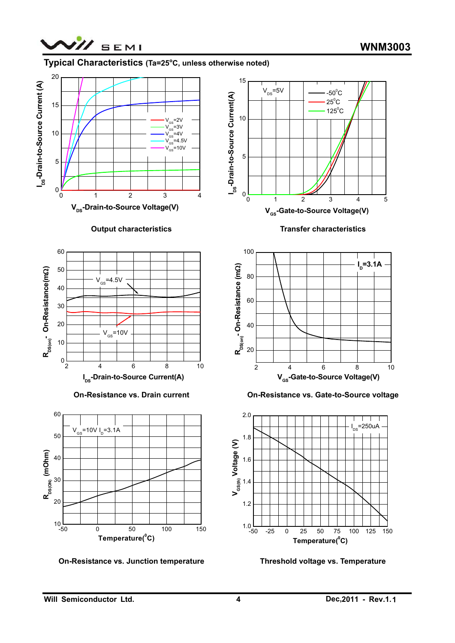

#### Typical Characteristics (Ta=25°C, unless otherwise noted)



#### **Output characteristics**



**On-Resistance vs. Drain current** 



**On-Resistance vs. Junction temperature** 



**Transfer characteristics** 



**On-Resistance vs. Gate-to-Source voltage** 



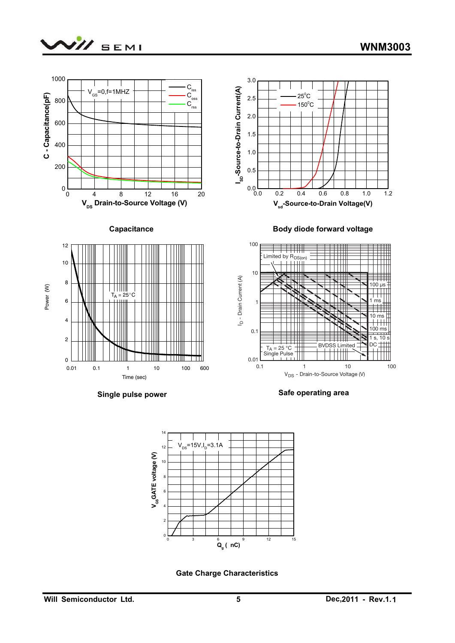





**Single pulse power** 

**Safe operating area**



**Gate Charge Characteristics**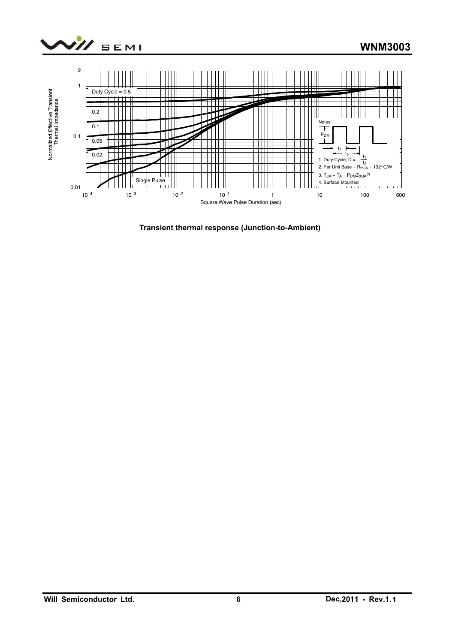



**Transient thermal response (Junction-to-Ambient)**